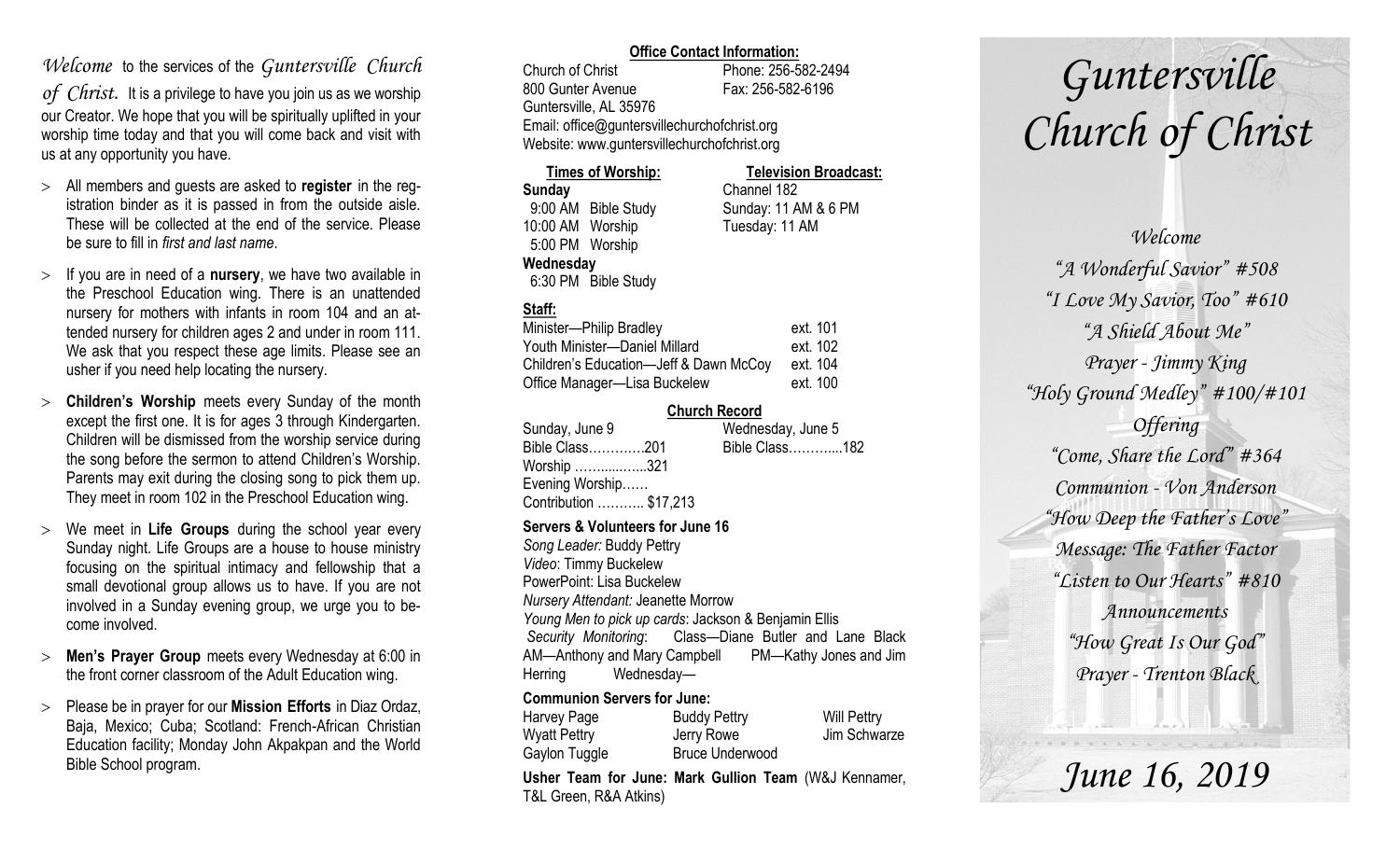# *Welcome* to the services of the *Guntersville Church*

*of Christ*. It is a privilege to have you join us as we worship our Creator. We hope that you will be spiritually uplifted in your worship time today and that you will come back and visit with us at any opportunity you have.

- All members and guests are asked to **register** in the registration binder as it is passed in from the outside aisle. These will be collected at the end of the service. Please be sure to fill in *first and last name*.
- $>$  If you are in need of a **nursery**, we have two available in the Preschool Education wing. There is an unattended nursery for mothers with infants in room 104 and an attended nursery for children ages 2 and under in room 111. We ask that you respect these age limits. Please see an usher if you need help locating the nursery.
- **Children's Worship** meets every Sunday of the month except the first one. It is for ages 3 through Kindergarten. Children will be dismissed from the worship service during the song before the sermon to attend Children's Worship. Parents may exit during the closing song to pick them up. They meet in room 102 in the Preschool Education wing.
- We meet in **Life Groups** during the school year every Sunday night. Life Groups are a house to house ministry focusing on the spiritual intimacy and fellowship that a small devotional group allows us to have. If you are not involved in a Sunday evening group, we urge you to become involved.
- **Men's Prayer Group** meets every Wednesday at 6:00 in the front corner classroom of the Adult Education wing.
- Please be in prayer for our **Mission Efforts** in Diaz Ordaz, Baja, Mexico; Cuba; Scotland: French-African Christian Education facility; Monday John Akpakpan and the World Bible School program.

### **Office Contact Information:**

Church of Christ Phone: 256-582-2494 800 Gunter Avenue Fax: 256-582-6196 Guntersville, AL 35976 Email: office@guntersvillechurchofchrist.org Website: www.guntersvillechurchofchrist.org

| <b>Times of Worship:</b> |                     | <b>Television Broadcast:</b> |  |
|--------------------------|---------------------|------------------------------|--|
| Sunday                   |                     | Channel 182                  |  |
|                          | 9:00 AM Bible Study | Sunday: 11 AM & 6 PM         |  |
| 10:00 AM Worship         |                     | Tuesday: 11 AM               |  |
| 5:00 PM Worship          |                     |                              |  |
| Wednesday                |                     |                              |  |
|                          | 6:30 PM Bible Study |                              |  |

## **Staff:**

| Minister-Philip Bradley                | ext. 101 |
|----------------------------------------|----------|
| Youth Minister-Daniel Millard          | ext. 102 |
| Children's Education-Jeff & Dawn McCoy | ext. 104 |
| Office Manager-Lisa Buckelew           | ext. 100 |

#### **Church Record**

| Sunday, June 9         | Wednesday, June 5 |  |
|------------------------|-------------------|--|
| Bible Class201         | Bible Class182    |  |
| Worship 321            |                   |  |
| Evening Worship        |                   |  |
| Contribution  \$17,213 |                   |  |
|                        |                   |  |

#### **Servers & Volunteers for June 16**

*Song Leader:* Buddy Pettry *Video*: Timmy Buckelew PowerPoint: Lisa Buckelew *Nursery Attendant:* Jeanette Morrow *Young Men to pick up cards*: Jackson & Benjamin Ellis *Security Monitoring*: Class—Diane Butler and Lane Black AM—Anthony and Mary Campbell PM—Kathy Jones and Jim Herring Wednesday—

## **Communion Servers for June:**

| Harvey Page         | <b>Buddy Pettry</b>    | <b>Will Pettry</b> |
|---------------------|------------------------|--------------------|
| <b>Wyatt Pettry</b> | Jerry Rowe             | Jim Schwarze       |
| Gaylon Tuggle       | <b>Bruce Underwood</b> |                    |

**Usher Team for June: Mark Gullion Team** (W&J Kennamer, T&L Green, R&A Atkins)

# *Guntersville Church of Christ*

*Welcome "A Wonderful Savior" #508 "I Love My Savior, Too" #610 "A Shield About Me" Prayer - Jimmy King "Holy Ground Medley" #100/#101 Offering "Come, Share the Lord" #364 Communion - Von Anderson "How Deep the Father's Love" Message: The Father Factor "Listen to Our Hearts" #810 Announcements "How Great Is Our God" Prayer - Trenton Black*

*June 16, 2019*